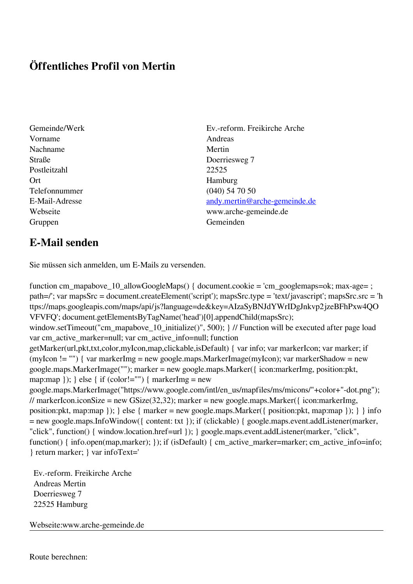## **Öffentliches Profil von Mertin**

- Vorname Andreas Nachname Mertin Straße Doerriesweg 7 Postleitzahl 22525 Ort Hamburg Telefonnummer (040) 54 70 50 Gruppen Gemeinden Gemeinden Gemeinden Gemeinden Gemeinden Gemeinden Gemeinden Gemeinden Gemeinden Gemeinden G
- Gemeinde/Werk Ev.-reform. Freikirche Arche E-Mail-Adresse [andy.mertin@arche-gemeinde.de](mailto:andy.mertin@arche-gemeinde.de) Webseite www.arche-gemeinde.de

## **E-Mail senden**

Sie müssen sich anmelden, um E-Mails zu versenden.

function cm\_mapabove\_10\_allowGoogleMaps() { document.cookie = 'cm\_googlemaps=ok; max-age= ; path=/'; var mapsSrc = document.createElement('script'); mapsSrc.type = 'text/javascript'; mapsSrc.src = 'h ttps://maps.googleapis.com/maps/api/js?language=de&key=AIzaSyBNJdYWrIDgJnkvp2jzeBFhPxw4QO VFVFQ'; document.getElementsByTagName('head')[0].appendChild(mapsSrc); window.setTimeout("cm\_mapabove\_10\_initialize()", 500); } // Function will be executed after page load var cm\_active\_marker=null; var cm\_active\_info=null; function getMarker(url,pkt,txt,color,myIcon,map,clickable,isDefault) { var info; var markerIcon; var marker; if (myIcon != "") { var markerImg = new google.maps.MarkerImage(myIcon); var markerShadow = new google.maps.MarkerImage(""); marker = new google.maps.Marker({ icon:markerImg, position:pkt, map:map  $\}$ ;  $\}$  else  $\{$  if (color!="")  $\{$  markerImg = new google.maps.MarkerImage("https://www.google.com/intl/en\_us/mapfiles/ms/micons/"+color+"-dot.png"); // markerIcon.iconSize = new GSize(32,32); marker = new google.maps.Marker({ $i$ con:markerImg, position:pkt, map:map }); } else { marker = new google.maps.Marker({ position:pkt, map:map }); } } info = new google.maps.InfoWindow({ content: txt }); if (clickable) { google.maps.event.addListener(marker, "click", function() { window.location.href=url }); } google.maps.event.addListener(marker, "click", function() { info.open(map,marker); }); if (isDefault) { cm\_active\_marker=marker; cm\_active\_info=info; } return marker; } var infoText='

 Ev.-reform. Freikirche Arche Andreas Mertin Doerriesweg 7 22525 Hamburg

Webseite:www.arche-gemeinde.de